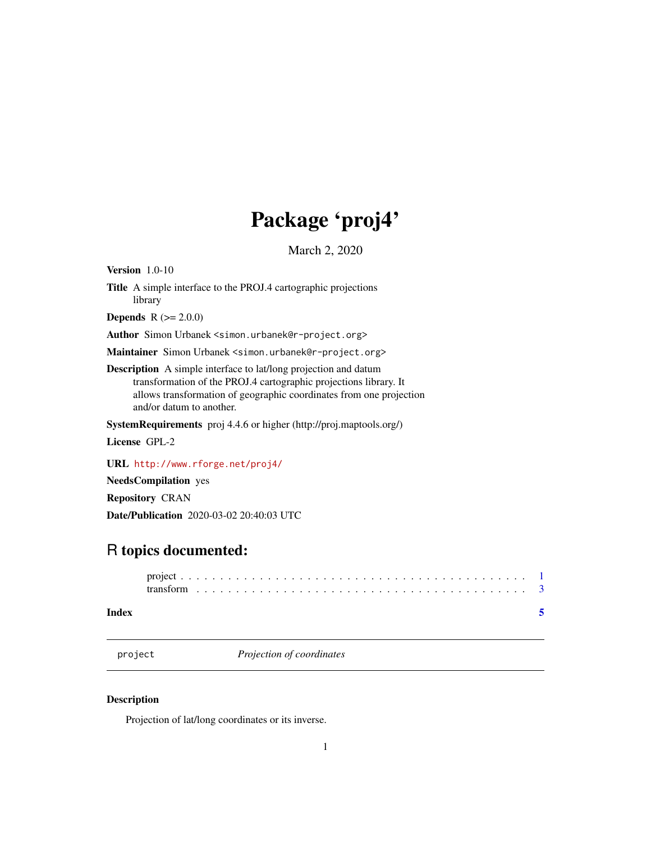## Package 'proj4'

March 2, 2020

<span id="page-0-0"></span>Version 1.0-10

Title A simple interface to the PROJ.4 cartographic projections library

**Depends**  $R (= 2.0.0)$ 

Author Simon Urbanek <simon.urbanek@r-project.org>

Maintainer Simon Urbanek <simon.urbanek@r-project.org>

Description A simple interface to lat/long projection and datum transformation of the PROJ.4 cartographic projections library. It allows transformation of geographic coordinates from one projection and/or datum to another.

SystemRequirements proj 4.4.6 or higher (http://proj.maptools.org/)

License GPL-2

URL <http://www.rforge.net/proj4/>

NeedsCompilation yes

Repository CRAN

Date/Publication 2020-03-02 20:40:03 UTC

### R topics documented:

| Index |  |  |  |  |  |  |  |  |  |  |  |  |  |  |  |  |  |  |  |
|-------|--|--|--|--|--|--|--|--|--|--|--|--|--|--|--|--|--|--|--|

project *Projection of coordinates*

#### Description

Projection of lat/long coordinates or its inverse.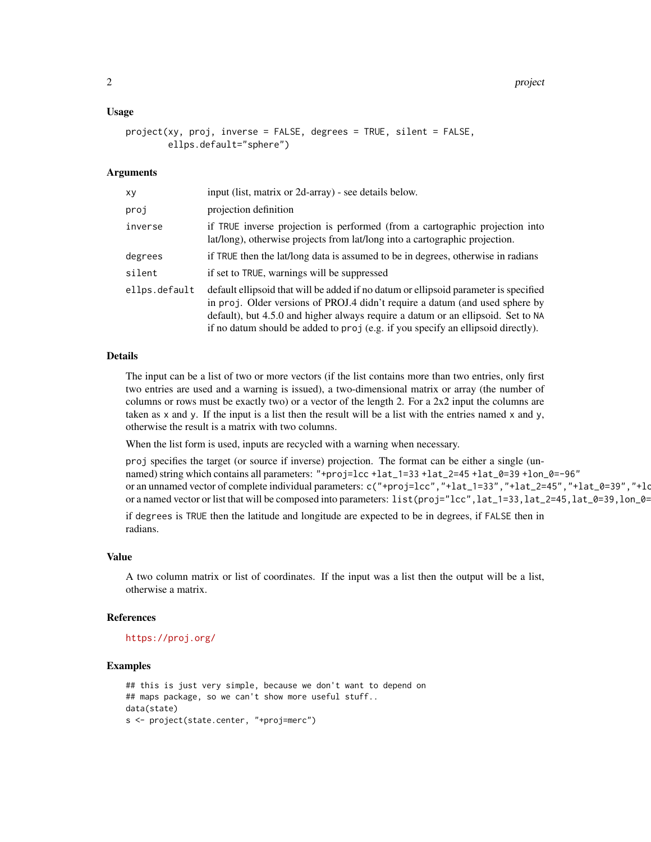#### Usage

```
project(xy, proj, inverse = FALSE, degrees = TRUE, silent = FALSE,
       ellps.default="sphere")
```
#### Arguments

| хy            | input (list, matrix or 2d-array) - see details below.                                                                                                                                                                                                                                                                                        |
|---------------|----------------------------------------------------------------------------------------------------------------------------------------------------------------------------------------------------------------------------------------------------------------------------------------------------------------------------------------------|
| proj          | projection definition                                                                                                                                                                                                                                                                                                                        |
| inverse       | if TRUE inverse projection is performed (from a cartographic projection into<br>lat/long), otherwise projects from lat/long into a cartographic projection.                                                                                                                                                                                  |
| degrees       | if TRUE then the lat/long data is assumed to be in degrees, otherwise in radians                                                                                                                                                                                                                                                             |
| silent        | if set to TRUE, warnings will be suppressed                                                                                                                                                                                                                                                                                                  |
| ellps.default | default ellipsoid that will be added if no datum or ellipsoid parameter is specified<br>in proj. Older versions of PROJ.4 didn't require a datum (and used sphere by<br>default), but 4.5.0 and higher always require a datum or an ellipsoid. Set to NA<br>if no datum should be added to proj (e.g. if you specify an ellipsoid directly). |

#### Details

The input can be a list of two or more vectors (if the list contains more than two entries, only first two entries are used and a warning is issued), a two-dimensional matrix or array (the number of columns or rows must be exactly two) or a vector of the length 2. For a 2x2 input the columns are taken as  $x$  and  $y$ . If the input is a list then the result will be a list with the entries named  $x$  and  $y$ , otherwise the result is a matrix with two columns.

When the list form is used, inputs are recycled with a warning when necessary.

proj specifies the target (or source if inverse) projection. The format can be either a single (unnamed) string which contains all parameters: "+proj=lcc +lat\_1=33 +lat\_2=45 +lat\_0=39 +lon\_0=-96" or an unnamed vector of complete individual parameters: c("+proj=lcc","+lat\_1=33","+lat\_2=45","+lat\_0=39","+lo or a named vector or list that will be composed into parameters: list(proj="lcc",lat\_1=33,lat\_2=45,lat\_0=39,lon\_0=-96)

if degrees is TRUE then the latitude and longitude are expected to be in degrees, if FALSE then in radians.

#### Value

A two column matrix or list of coordinates. If the input was a list then the output will be a list, otherwise a matrix.

#### References

```
https://proj.org/
```
#### Examples

```
## this is just very simple, because we don't want to depend on
## maps package, so we can't show more useful stuff..
data(state)
s <- project(state.center, "+proj=merc")
```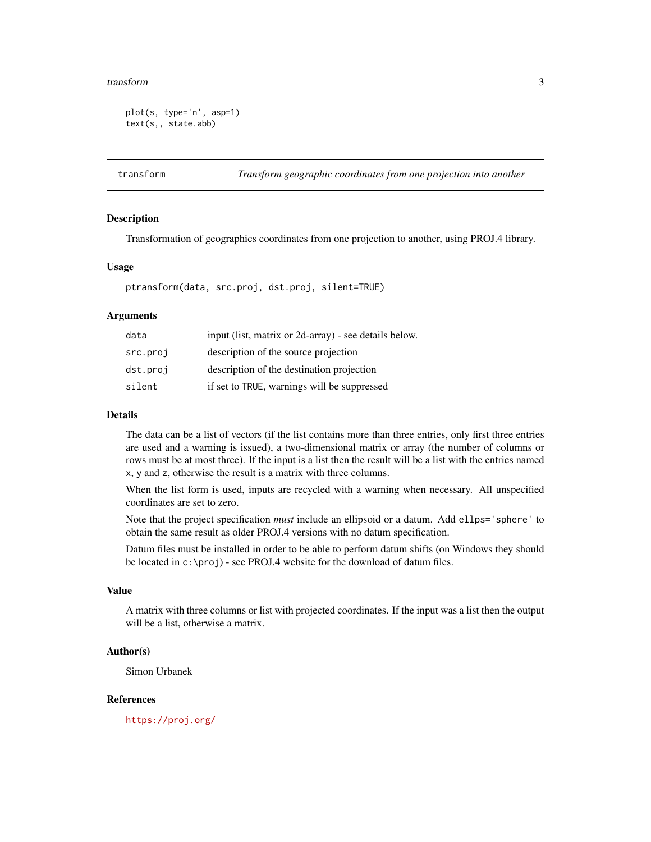#### <span id="page-2-0"></span>transform 3

```
plot(s, type='n', asp=1)
text(s,, state.abb)
```
transform *Transform geographic coordinates from one projection into another*

#### Description

Transformation of geographics coordinates from one projection to another, using PROJ.4 library.

#### Usage

ptransform(data, src.proj, dst.proj, silent=TRUE)

#### Arguments

| data     | input (list, matrix or 2d-array) - see details below. |
|----------|-------------------------------------------------------|
| src.proj | description of the source projection                  |
| dst.proj | description of the destination projection             |
| silent   | if set to TRUE, warnings will be suppressed           |

#### Details

The data can be a list of vectors (if the list contains more than three entries, only first three entries are used and a warning is issued), a two-dimensional matrix or array (the number of columns or rows must be at most three). If the input is a list then the result will be a list with the entries named x, y and z, otherwise the result is a matrix with three columns.

When the list form is used, inputs are recycled with a warning when necessary. All unspecified coordinates are set to zero.

Note that the project specification *must* include an ellipsoid or a datum. Add ellps='sphere' to obtain the same result as older PROJ.4 versions with no datum specification.

Datum files must be installed in order to be able to perform datum shifts (on Windows they should be located in c:\proj) - see PROJ.4 website for the download of datum files.

#### Value

A matrix with three columns or list with projected coordinates. If the input was a list then the output will be a list, otherwise a matrix.

#### Author(s)

Simon Urbanek

#### References

<https://proj.org/>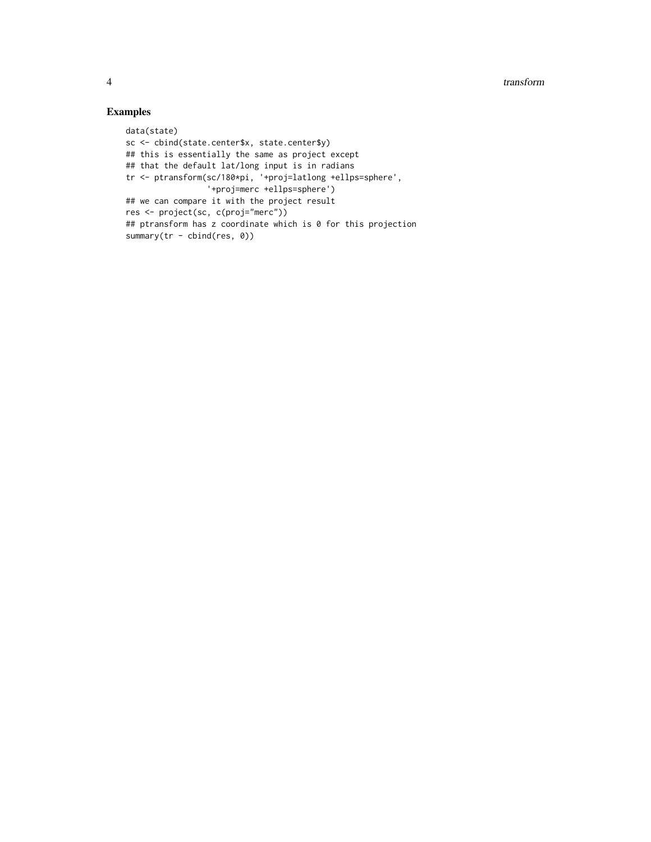#### Examples

```
data(state)
sc <- cbind(state.center$x, state.center$y)
## this is essentially the same as project except
## that the default lat/long input is in radians
tr <- ptransform(sc/180*pi, '+proj=latlong +ellps=sphere',
                 '+proj=merc +ellps=sphere')
## we can compare it with the project result
res <- project(sc, c(proj="merc"))
## ptransform has z coordinate which is 0 for this projection
summary(tr - cbind(res, 0))
```